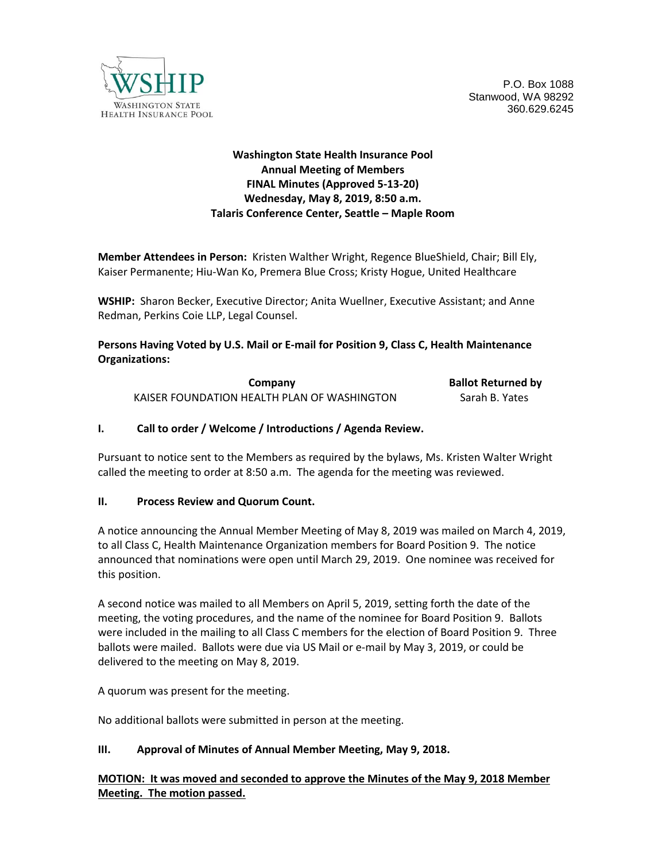

P.O. Box 1088 Stanwood, WA 98292 360.629.6245

# **Washington State Health Insurance Pool Annual Meeting of Members FINAL Minutes (Approved 5-13-20) Wednesday, May 8, 2019, 8:50 a.m. Talaris Conference Center, Seattle – Maple Room**

**Member Attendees in Person:** Kristen Walther Wright, Regence BlueShield, Chair; Bill Ely, Kaiser Permanente; Hiu-Wan Ko, Premera Blue Cross; Kristy Hogue, United Healthcare

**WSHIP:** Sharon Becker, Executive Director; Anita Wuellner, Executive Assistant; and Anne Redman, Perkins Coie LLP, Legal Counsel.

## **Persons Having Voted by U.S. Mail or E-mail for Position 9, Class C, Health Maintenance Organizations:**

| Company                                     | <b>Ballot Returned by</b> |
|---------------------------------------------|---------------------------|
| KAISER FOUNDATION HEALTH PLAN OF WASHINGTON | Sarah B. Yates            |

## **I. Call to order / Welcome / Introductions / Agenda Review.**

Pursuant to notice sent to the Members as required by the bylaws, Ms. Kristen Walter Wright called the meeting to order at 8:50 a.m. The agenda for the meeting was reviewed.

#### **II. Process Review and Quorum Count.**

A notice announcing the Annual Member Meeting of May 8, 2019 was mailed on March 4, 2019, to all Class C, Health Maintenance Organization members for Board Position 9. The notice announced that nominations were open until March 29, 2019. One nominee was received for this position.

A second notice was mailed to all Members on April 5, 2019, setting forth the date of the meeting, the voting procedures, and the name of the nominee for Board Position 9. Ballots were included in the mailing to all Class C members for the election of Board Position 9. Three ballots were mailed. Ballots were due via US Mail or e-mail by May 3, 2019, or could be delivered to the meeting on May 8, 2019.

A quorum was present for the meeting.

No additional ballots were submitted in person at the meeting.

## **III. Approval of Minutes of Annual Member Meeting, May 9, 2018.**

**MOTION: It was moved and seconded to approve the Minutes of the May 9, 2018 Member Meeting. The motion passed.**